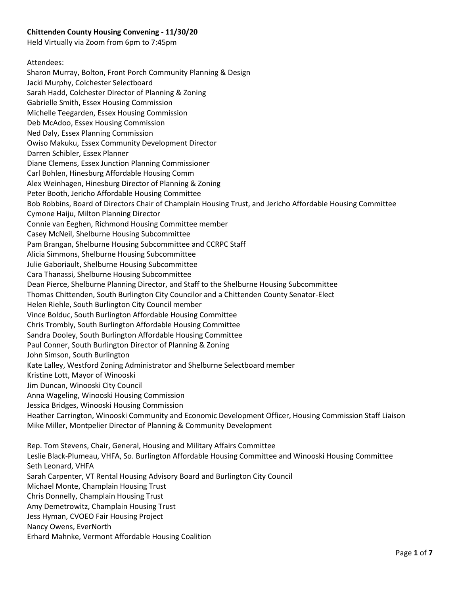#### **Chittenden County Housing Convening - 11/30/20**

Held Virtually via Zoom from 6pm to 7:45pm

Attendees: Sharon Murray, Bolton, Front Porch Community Planning & Design Jacki Murphy, Colchester Selectboard Sarah Hadd, Colchester Director of Planning & Zoning Gabrielle Smith, Essex Housing Commission Michelle Teegarden, Essex Housing Commission Deb McAdoo, Essex Housing Commission Ned Daly, Essex Planning Commission Owiso Makuku, Essex Community Development Director Darren Schibler, Essex Planner Diane Clemens, Essex Junction Planning Commissioner Carl Bohlen, Hinesburg Affordable Housing Comm Alex Weinhagen, Hinesburg Director of Planning & Zoning Peter Booth, Jericho Affordable Housing Committee Bob Robbins, Board of Directors Chair of Champlain Housing Trust, and Jericho Affordable Housing Committee Cymone Haiju, Milton Planning Director Connie van Eeghen, Richmond Housing Committee member Casey McNeil, Shelburne Housing Subcommittee Pam Brangan, Shelburne Housing Subcommittee and CCRPC Staff Alicia Simmons, Shelburne Housing Subcommittee Julie Gaboriault, Shelburne Housing Subcommittee Cara Thanassi, Shelburne Housing Subcommittee Dean Pierce, Shelburne Planning Director, and Staff to the Shelburne Housing Subcommittee Thomas Chittenden, South Burlington City Councilor and a Chittenden County Senator-Elect Helen Riehle, South Burlington City Council member Vince Bolduc, South Burlington Affordable Housing Committee Chris Trombly, South Burlington Affordable Housing Committee Sandra Dooley, South Burlington Affordable Housing Committee Paul Conner, South Burlington Director of Planning & Zoning John Simson, South Burlington Kate Lalley, Westford Zoning Administrator and Shelburne Selectboard member Kristine Lott, Mayor of Winooski Jim Duncan, Winooski City Council Anna Wageling, Winooski Housing Commission Jessica Bridges, Winooski Housing Commission Heather Carrington, Winooski Community and Economic Development Officer, Housing Commission Staff Liaison Mike Miller, Montpelier Director of Planning & Community Development Rep. Tom Stevens, Chair, General, Housing and Military Affairs Committee Leslie Black-Plumeau, VHFA, So. Burlington Affordable Housing Committee and Winooski Housing Committee Seth Leonard, VHFA Sarah Carpenter, VT Rental Housing Advisory Board and Burlington City Council Michael Monte, Champlain Housing Trust Chris Donnelly, Champlain Housing Trust Amy Demetrowitz, Champlain Housing Trust

- Jess Hyman, CVOEO Fair Housing Project
- Nancy Owens, EverNorth
- Erhard Mahnke, Vermont Affordable Housing Coalition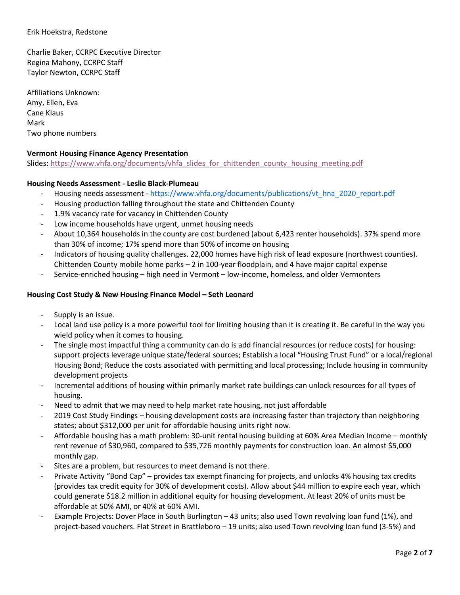#### Erik Hoekstra, Redstone

Charlie Baker, CCRPC Executive Director Regina Mahony, CCRPC Staff Taylor Newton, CCRPC Staff

Affiliations Unknown: Amy, Ellen, Eva Cane Klaus Mark Two phone numbers

#### **Vermont Housing Finance Agency Presentation**

Slides: [https://www.vhfa.org/documents/vhfa\\_slides\\_for\\_chittenden\\_county\\_housing\\_meeting.pdf](https://www.vhfa.org/documents/vhfa_slides_for_chittenden_county_housing_meeting.pdf)

#### **Housing Needs Assessment - Leslie Black-Plumeau**

- Housing needs assessment https://www.vhfa.org/documents/publications/vt\_hna\_2020\_report.pdf
- Housing production falling throughout the state and Chittenden County
- 1.9% vacancy rate for vacancy in Chittenden County
- Low income households have urgent, unmet housing needs
- About 10,364 households in the county are cost burdened (about 6,423 renter households). 37% spend more than 30% of income; 17% spend more than 50% of income on housing
- Indicators of housing quality challenges. 22,000 homes have high risk of lead exposure (northwest counties). Chittenden County mobile home parks – 2 in 100-year floodplain, and 4 have major capital expense
- Service-enriched housing high need in Vermont low-income, homeless, and older Vermonters

#### **Housing Cost Study & New Housing Finance Model – Seth Leonard**

- Supply is an issue.
- Local land use policy is a more powerful tool for limiting housing than it is creating it. Be careful in the way you wield policy when it comes to housing.
- The single most impactful thing a community can do is add financial resources (or reduce costs) for housing: support projects leverage unique state/federal sources; Establish a local "Housing Trust Fund" or a local/regional Housing Bond; Reduce the costs associated with permitting and local processing; Include housing in community development projects
- Incremental additions of housing within primarily market rate buildings can unlock resources for all types of housing.
- Need to admit that we may need to help market rate housing, not just affordable
- 2019 Cost Study Findings housing development costs are increasing faster than trajectory than neighboring states; about \$312,000 per unit for affordable housing units right now.
- Affordable housing has a math problem: 30-unit rental housing building at 60% Area Median Income monthly rent revenue of \$30,960, compared to \$35,726 monthly payments for construction loan. An almost \$5,000 monthly gap.
- Sites are a problem, but resources to meet demand is not there.
- Private Activity "Bond Cap" provides tax exempt financing for projects, and unlocks 4% housing tax credits (provides tax credit equity for 30% of development costs). Allow about \$44 million to expire each year, which could generate \$18.2 million in additional equity for housing development. At least 20% of units must be affordable at 50% AMI, or 40% at 60% AMI.
- Example Projects: Dover Place in South Burlington 43 units; also used Town revolving loan fund (1%), and project-based vouchers. Flat Street in Brattleboro – 19 units; also used Town revolving loan fund (3-5%) and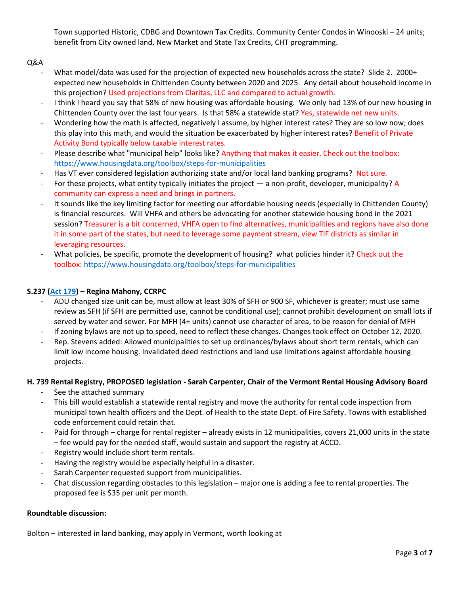Town supported Historic, CDBG and Downtown Tax Credits. Community Center Condos in Winooski – 24 units; benefit from City owned land, New Market and State Tax Credits, CHT programming.

### Q&A

- What model/data was used for the projection of expected new households across the state? Slide 2. 2000+ expected new households in Chittenden County between 2020 and 2025. Any detail about household income in this projection? Used projections from Claritas, LLC and compared to actual growth.
- I think I heard you say that 58% of new housing was affordable housing. We only had 13% of our new housing in Chittenden County over the last four years. Is that 58% a statewide stat? Yes, statewide net new units.
- Wondering how the math is affected, negatively I assume, by higher interest rates? They are so low now; does this play into this math, and would the situation be exacerbated by higher interest rates? Benefit of Private Activity Bond typically below taxable interest rates.
- Please describe what "municipal help" looks like? Anything that makes it easier. Check out the toolbox: https://www.housingdata.org/toolbox/steps-for-municipalities
- Has VT ever considered legislation authorizing state and/or local land banking programs? Not sure.
- For these projects, what entity typically initiates the project a non-profit, developer, municipality? A community can express a need and brings in partners.
- It sounds like the key limiting factor for meeting our affordable housing needs (especially in Chittenden County) is financial resources. Will VHFA and others be advocating for another statewide housing bond in the 2021 session? Treasurer is a bit concerned, VHFA open to find alternatives, municipalities and regions have also done it in some part of the states, but need to leverage some payment stream, view TIF districts as similar in leveraging resources.
- What policies, be specific, promote the development of housing? what policies hinder it? Check out the toolbox: https://www.housingdata.org/toolbox/steps-for-municipalities

### **S.237 [\(Act 179\)](https://legislature.vermont.gov/Documents/2020/Docs/ACTS/ACT179/ACT179%20As%20Enacted.pdf) – Regina Mahony, CCRPC**

- ADU changed size unit can be, must allow at least 30% of SFH or 900 SF, whichever is greater; must use same review as SFH (if SFH are permitted use, cannot be conditional use); cannot prohibit development on small lots if served by water and sewer. For MFH (4+ units) cannot use character of area, to be reason for denial of MFH
- If zoning bylaws are not up to speed, need to reflect these changes. Changes took effect on October 12, 2020.
- Rep. Stevens added: Allowed municipalities to set up ordinances/bylaws about short term rentals, which can limit low income housing. Invalidated deed restrictions and land use limitations against affordable housing projects.

#### **H. 739 Rental Registry, PROPOSED legislation - Sarah Carpenter, Chair of the Vermont Rental Housing Advisory Board**

- See the attached summary
- This bill would establish a statewide rental registry and move the authority for rental code inspection from municipal town health officers and the Dept. of Health to the state Dept. of Fire Safety. Towns with established code enforcement could retain that.
- Paid for through charge for rental register already exists in 12 municipalities, covers 21,000 units in the state – fee would pay for the needed staff, would sustain and support the registry at ACCD.
- Registry would include short term rentals.
- Having the registry would be especially helpful in a disaster.
- Sarah Carpenter requested support from municipalities.
- Chat discussion regarding obstacles to this legislation major one is adding a fee to rental properties. The proposed fee is \$35 per unit per month.

#### **Roundtable discussion:**

Bolton – interested in land banking, may apply in Vermont, worth looking at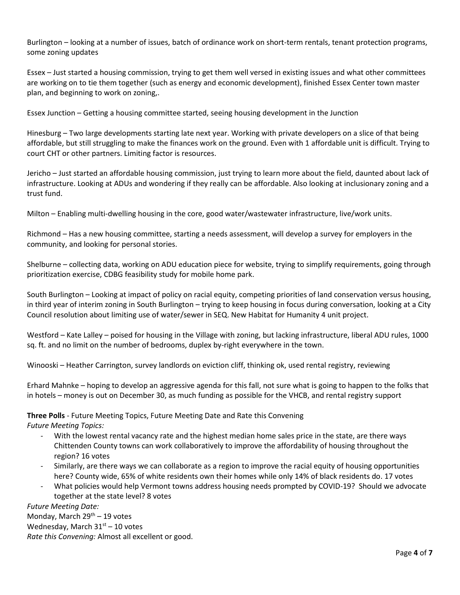Burlington – looking at a number of issues, batch of ordinance work on short-term rentals, tenant protection programs, some zoning updates

Essex – Just started a housing commission, trying to get them well versed in existing issues and what other committees are working on to tie them together (such as energy and economic development), finished Essex Center town master plan, and beginning to work on zoning,.

Essex Junction – Getting a housing committee started, seeing housing development in the Junction

Hinesburg – Two large developments starting late next year. Working with private developers on a slice of that being affordable, but still struggling to make the finances work on the ground. Even with 1 affordable unit is difficult. Trying to court CHT or other partners. Limiting factor is resources.

Jericho – Just started an affordable housing commission, just trying to learn more about the field, daunted about lack of infrastructure. Looking at ADUs and wondering if they really can be affordable. Also looking at inclusionary zoning and a trust fund.

Milton – Enabling multi-dwelling housing in the core, good water/wastewater infrastructure, live/work units.

Richmond – Has a new housing committee, starting a needs assessment, will develop a survey for employers in the community, and looking for personal stories.

Shelburne – collecting data, working on ADU education piece for website, trying to simplify requirements, going through prioritization exercise, CDBG feasibility study for mobile home park.

South Burlington – Looking at impact of policy on racial equity, competing priorities of land conservation versus housing, in third year of interim zoning in South Burlington – trying to keep housing in focus during conversation, looking at a City Council resolution about limiting use of water/sewer in SEQ. New Habitat for Humanity 4 unit project.

Westford – Kate Lalley – poised for housing in the Village with zoning, but lacking infrastructure, liberal ADU rules, 1000 sq. ft. and no limit on the number of bedrooms, duplex by-right everywhere in the town.

Winooski – Heather Carrington, survey landlords on eviction cliff, thinking ok, used rental registry, reviewing

Erhard Mahnke – hoping to develop an aggressive agenda for this fall, not sure what is going to happen to the folks that in hotels – money is out on December 30, as much funding as possible for the VHCB, and rental registry support

#### **Three Polls** - Future Meeting Topics, Future Meeting Date and Rate this Convening

*Future Meeting Topics:* 

- With the lowest rental vacancy rate and the highest median home sales price in the state, are there ways Chittenden County towns can work collaboratively to improve the affordability of housing throughout the region? 16 votes
- Similarly, are there ways we can collaborate as a region to improve the racial equity of housing opportunities here? County wide, 65% of white residents own their homes while only 14% of black residents do. 17 votes
- What policies would help Vermont towns address housing needs prompted by COVID-19? Should we advocate together at the state level? 8 votes

*Future Meeting Date:*  Monday, March  $29<sup>th</sup> - 19$  votes Wednesday, March  $31<sup>st</sup> - 10$  votes *Rate this Convening:* Almost all excellent or good.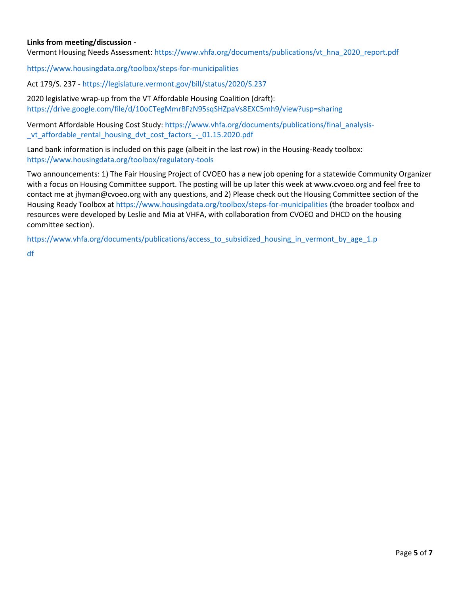#### **Links from meeting/discussion -**

Vermont Housing Needs Assessment: https://www.vhfa.org/documents/publications/vt\_hna\_2020\_report.pdf

https://www.housingdata.org/toolbox/steps-for-municipalities

Act 179/S. 237 - https://legislature.vermont.gov/bill/status/2020/S.237

2020 legislative wrap-up from the VT Affordable Housing Coalition (draft): https://drive.google.com/file/d/10oCTegMmrBFzN95sqSHZpaVs8EXC5mh9/view?usp=sharing

Vermont Affordable Housing Cost Study: https://www.vhfa.org/documents/publications/final\_analysis- \_vt\_affordable\_rental\_housing\_dvt\_cost\_factors\_-\_01.15.2020.pdf

Land bank information is included on this page (albeit in the last row) in the Housing-Ready toolbox: https://www.housingdata.org/toolbox/regulatory-tools

Two announcements: 1) The Fair Housing Project of CVOEO has a new job opening for a statewide Community Organizer with a focus on Housing Committee support. The posting will be up later this week at www.cvoeo.org and feel free to contact me at jhyman@cvoeo.org with any questions, and 2) Please check out the Housing Committee section of the Housing Ready Toolbox at https://www.housingdata.org/toolbox/steps-for-municipalities (the broader toolbox and resources were developed by Leslie and Mia at VHFA, with collaboration from CVOEO and DHCD on the housing committee section).

https://www.vhfa.org/documents/publications/access\_to\_subsidized\_housing\_in\_vermont\_by\_age\_1.p

df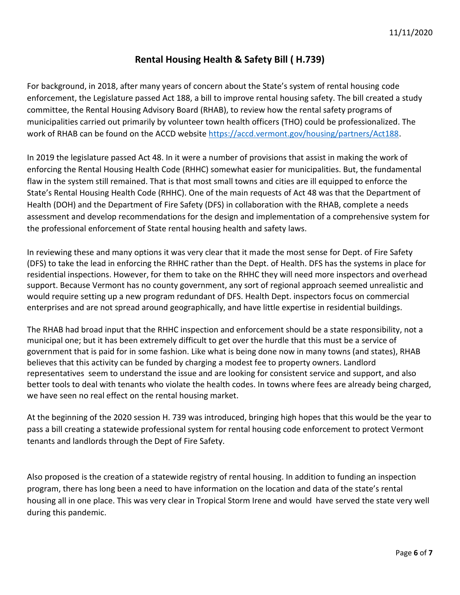# **Rental Housing Health & Safety Bill ( H.739)**

For background, in 2018, after many years of concern about the State's system of rental housing code enforcement, the Legislature passed Act 188, a bill to improve rental housing safety. The bill created a study committee, the Rental Housing Advisory Board (RHAB), to review how the rental safety programs of municipalities carried out primarily by volunteer town health officers (THO) could be professionalized. The work of RHAB can be found on the ACCD website [https://accd.vermont.gov/housing/partners/Act188.](https://accd.vermont.gov/housing/partners/Act188)

In 2019 the legislature passed Act 48. In it were a number of provisions that assist in making the work of enforcing the Rental Housing Health Code (RHHC) somewhat easier for municipalities. But, the fundamental flaw in the system still remained. That is that most small towns and cities are ill equipped to enforce the State's Rental Housing Health Code (RHHC). One of the main requests of Act 48 was that the Department of Health (DOH) and the Department of Fire Safety (DFS) in collaboration with the RHAB, complete a needs assessment and develop recommendations for the design and implementation of a comprehensive system for the professional enforcement of State rental housing health and safety laws.

In reviewing these and many options it was very clear that it made the most sense for Dept. of Fire Safety (DFS) to take the lead in enforcing the RHHC rather than the Dept. of Health. DFS has the systems in place for residential inspections. However, for them to take on the RHHC they will need more inspectors and overhead support. Because Vermont has no county government, any sort of regional approach seemed unrealistic and would require setting up a new program redundant of DFS. Health Dept. inspectors focus on commercial enterprises and are not spread around geographically, and have little expertise in residential buildings.

The RHAB had broad input that the RHHC inspection and enforcement should be a state responsibility, not a municipal one; but it has been extremely difficult to get over the hurdle that this must be a service of government that is paid for in some fashion. Like what is being done now in many towns (and states), RHAB believes that this activity can be funded by charging a modest fee to property owners. Landlord representatives seem to understand the issue and are looking for consistent service and support, and also better tools to deal with tenants who violate the health codes. In towns where fees are already being charged, we have seen no real effect on the rental housing market.

At the beginning of the 2020 session H. 739 was introduced, bringing high hopes that this would be the year to pass a bill creating a statewide professional system for rental housing code enforcement to protect Vermont tenants and landlords through the Dept of Fire Safety.

Also proposed is the creation of a statewide registry of rental housing. In addition to funding an inspection program, there has long been a need to have information on the location and data of the state's rental housing all in one place. This was very clear in Tropical Storm Irene and would have served the state very well during this pandemic.